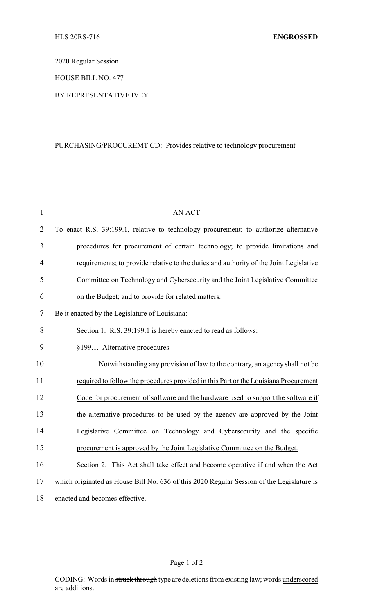2020 Regular Session

HOUSE BILL NO. 477

## BY REPRESENTATIVE IVEY

## PURCHASING/PROCUREMT CD: Provides relative to technology procurement

| $\mathbf{1}$   | <b>AN ACT</b>                                                                             |
|----------------|-------------------------------------------------------------------------------------------|
| $\overline{2}$ | To enact R.S. 39:199.1, relative to technology procurement; to authorize alternative      |
| 3              | procedures for procurement of certain technology; to provide limitations and              |
| $\overline{4}$ | requirements; to provide relative to the duties and authority of the Joint Legislative    |
| 5              | Committee on Technology and Cybersecurity and the Joint Legislative Committee             |
| 6              | on the Budget; and to provide for related matters.                                        |
| 7              | Be it enacted by the Legislature of Louisiana:                                            |
| 8              | Section 1. R.S. 39:199.1 is hereby enacted to read as follows:                            |
| 9              | §199.1. Alternative procedures                                                            |
| 10             | Notwithstanding any provision of law to the contrary, an agency shall not be              |
| 11             | required to follow the procedures provided in this Part or the Louisiana Procurement      |
| 12             | Code for procurement of software and the hardware used to support the software if         |
| 13             | the alternative procedures to be used by the agency are approved by the Joint             |
| 14             | Legislative Committee on Technology and Cybersecurity and the specific                    |
| 15             | procurement is approved by the Joint Legislative Committee on the Budget.                 |
| 16             | Section 2. This Act shall take effect and become operative if and when the Act            |
| 17             | which originated as House Bill No. 636 of this 2020 Regular Session of the Legislature is |
| 18             | enacted and becomes effective.                                                            |

## Page 1 of 2